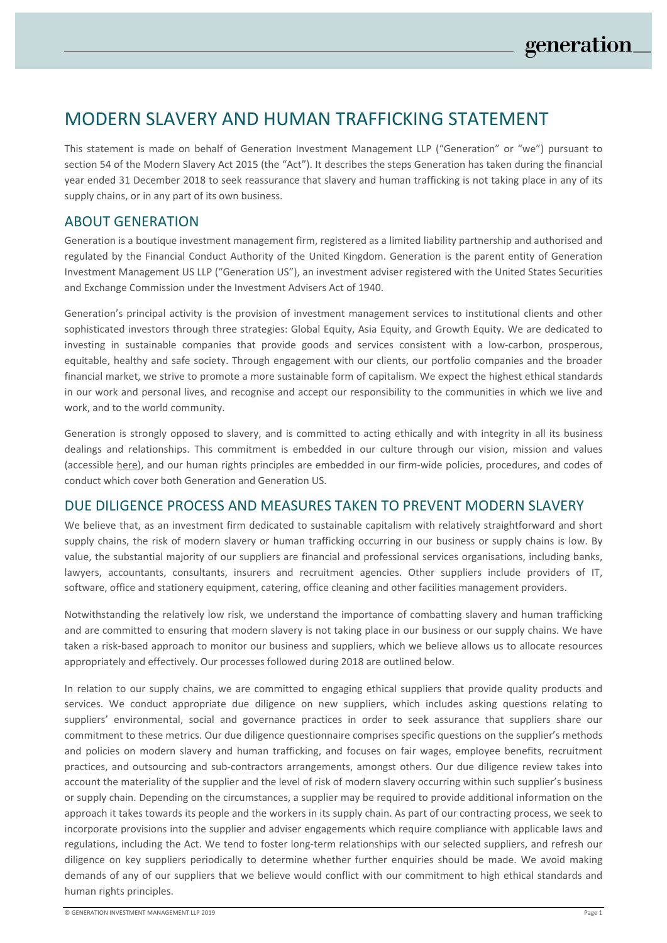# MODERN SLAVERY AND HUMAN TRAFFICKING STATEMENT

This statement is made on behalf of Generation Investment Management LLP ("Generation" or "we") pursuant to section 54 of the Modern Slavery Act 2015 (the "Act"). It describes the steps Generation has taken during the financial year ended 31 December 2018 to seek reassurance that slavery and human trafficking is not taking place in any of its supply chains, or in any part of its own business.

## ABOUT GENERATION

Generation is a boutique investment management firm, registered as a limited liability partnership and authorised and regulated by the Financial Conduct Authority of the United Kingdom. Generation is the parent entity of Generation Investment Management US LLP ("Generation US"), an investment adviser registered with the United States Securities and Exchange Commission under the Investment Advisers Act of 1940.

Generation's principal activity is the provision of investment management services to institutional clients and other sophisticated investors through three strategies: Global Equity, Asia Equity, and Growth Equity. We are dedicated to investing in sustainable companies that provide goods and services consistent with a low-carbon, prosperous, equitable, healthy and safe society. Through engagement with our clients, our portfolio companies and the broader financial market, we strive to promote a more sustainable form of capitalism. We expect the highest ethical standards in our work and personal lives, and recognise and accept our responsibility to the communities in which we live and work, and to the world community.

Generation is strongly opposed to slavery, and is committed to acting ethically and with integrity in all its business dealings and relationships. This commitment is embedded in our culture through our vision, mission and values (accessible here), and our human rights principles are embedded in our firm-wide policies, procedures, and codes of conduct which cover both Generation and Generation US.

### DUE DILIGENCE PROCESS AND MEASURES TAKEN TO PREVENT MODERN SLAVERY

We believe that, as an investment firm dedicated to sustainable capitalism with relatively straightforward and short supply chains, the risk of modern slavery or human trafficking occurring in our business or supply chains is low. By value, the substantial majority of our suppliers are financial and professional services organisations, including banks, lawyers, accountants, consultants, insurers and recruitment agencies. Other suppliers include providers of IT, software, office and stationery equipment, catering, office cleaning and other facilities management providers.

Notwithstanding the relatively low risk, we understand the importance of combatting slavery and human trafficking and are committed to ensuring that modern slavery is not taking place in our business or our supply chains. We have taken a risk-based approach to monitor our business and suppliers, which we believe allows us to allocate resources appropriately and effectively. Our processes followed during 2018 are outlined below.

In relation to our supply chains, we are committed to engaging ethical suppliers that provide quality products and services. We conduct appropriate due diligence on new suppliers, which includes asking questions relating to suppliers' environmental, social and governance practices in order to seek assurance that suppliers share our commitment to these metrics. Our due diligence questionnaire comprises specific questions on the supplier's methods and policies on modern slavery and human trafficking, and focuses on fair wages, employee benefits, recruitment practices, and outsourcing and sub-contractors arrangements, amongst others. Our due diligence review takes into account the materiality of the supplier and the level of risk of modern slavery occurring within such supplier's business or supply chain. Depending on the circumstances, a supplier may be required to provide additional information on the approach it takes towards its people and the workers in its supply chain. As part of our contracting process, we seek to incorporate provisions into the supplier and adviser engagements which require compliance with applicable laws and regulations, including the Act. We tend to foster long-term relationships with our selected suppliers, and refresh our diligence on key suppliers periodically to determine whether further enquiries should be made. We avoid making demands of any of our suppliers that we believe would conflict with our commitment to high ethical standards and human rights principles.